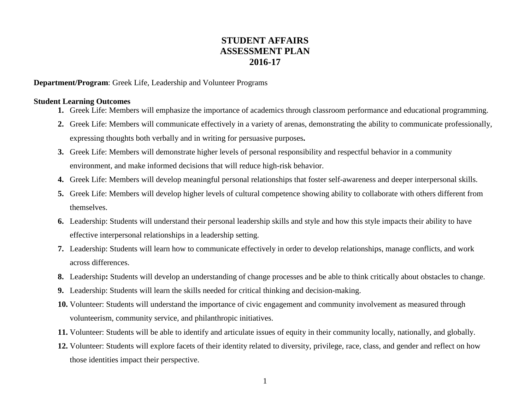## **STUDENT AFFAIRS ASSESSMENT PLAN 2016-17**

**Department/Program**: Greek Life, Leadership and Volunteer Programs

## **Student Learning Outcomes**

- **1.** Greek Life: Members will emphasize the importance of academics through classroom performance and educational programming.
- **2.** Greek Life: Members will communicate effectively in a variety of arenas, demonstrating the ability to communicate professionally, expressing thoughts both verbally and in writing for persuasive purposes**.**
- **3.** Greek Life: Members will demonstrate higher levels of personal responsibility and respectful behavior in a community environment, and make informed decisions that will reduce high-risk behavior.
- **4.** Greek Life: Members will develop meaningful personal relationships that foster self-awareness and deeper interpersonal skills.
- **5.** Greek Life: Members will develop higher levels of cultural competence showing ability to collaborate with others different from themselves.
- **6.** Leadership: Students will understand their personal leadership skills and style and how this style impacts their ability to have effective interpersonal relationships in a leadership setting.
- **7.** Leadership: Students will learn how to communicate effectively in order to develop relationships, manage conflicts, and work across differences.
- **8.** Leadership**:** Students will develop an understanding of change processes and be able to think critically about obstacles to change.
- **9.** Leadership: Students will learn the skills needed for critical thinking and decision-making.
- **10.** Volunteer: Students will understand the importance of civic engagement and community involvement as measured through volunteerism, community service, and philanthropic initiatives.
- **11.** Volunteer: Students will be able to identify and articulate issues of equity in their community locally, nationally, and globally.
- **12.** Volunteer: Students will explore facets of their identity related to diversity, privilege, race, class, and gender and reflect on how those identities impact their perspective.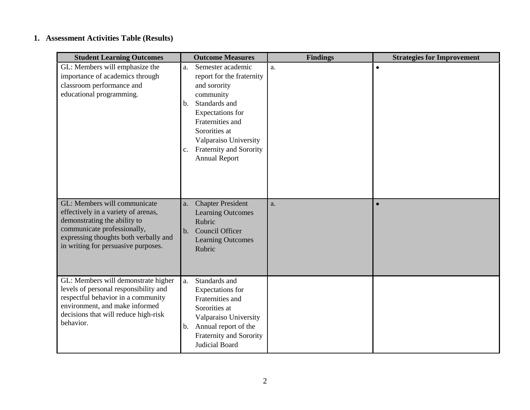## **1. Assessment Activities Table (Results)**

| <b>Student Learning Outcomes</b>                                                                                                                                                                                   | <b>Outcome Measures</b>                                                                                                                                                                                                                                      | <b>Findings</b> | <b>Strategies for Improvement</b> |
|--------------------------------------------------------------------------------------------------------------------------------------------------------------------------------------------------------------------|--------------------------------------------------------------------------------------------------------------------------------------------------------------------------------------------------------------------------------------------------------------|-----------------|-----------------------------------|
| GL: Members will emphasize the<br>importance of academics through<br>classroom performance and<br>educational programming.                                                                                         | Semester academic<br>a.<br>report for the fraternity<br>and sorority<br>community<br>Standards and<br>$b_{\cdot}$<br>Expectations for<br>Fraternities and<br>Sororities at<br>Valparaiso University<br>Fraternity and Sorority<br>c.<br><b>Annual Report</b> | a.              | $\bullet$                         |
| GL: Members will communicate<br>effectively in a variety of arenas,<br>demonstrating the ability to<br>communicate professionally,<br>expressing thoughts both verbally and<br>in writing for persuasive purposes. | <b>Chapter President</b><br>a.<br><b>Learning Outcomes</b><br>Rubric<br>Council Officer<br>b.<br><b>Learning Outcomes</b><br>Rubric                                                                                                                          | a.              | $\bullet$                         |
| GL: Members will demonstrate higher<br>levels of personal responsibility and<br>respectful behavior in a community<br>environment, and make informed<br>decisions that will reduce high-risk<br>behavior.          | Standards and<br>a.<br>Expectations for<br>Fraternities and<br>Sororities at<br>Valparaiso University<br>Annual report of the<br>b.<br>Fraternity and Sorority<br>Judicial Board                                                                             |                 |                                   |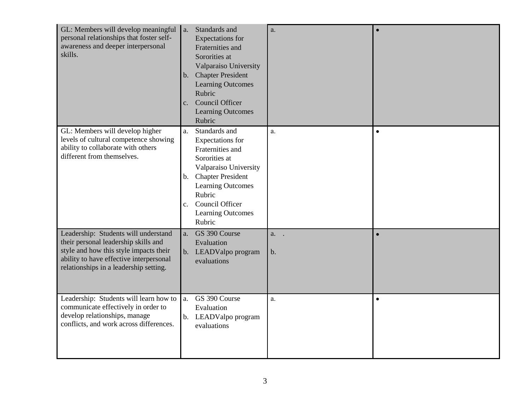| GL: Members will develop meaningful a.<br>personal relationships that foster self-<br>awareness and deeper interpersonal<br>skills.                                                                         | Standards and<br><b>Expectations</b> for<br>Fraternities and<br>Sororities at<br>Valparaiso University<br>b. Chapter President<br><b>Learning Outcomes</b><br>Rubric<br>c. Council Officer<br><b>Learning Outcomes</b><br>Rubric            | a.         | $\bullet$ |
|-------------------------------------------------------------------------------------------------------------------------------------------------------------------------------------------------------------|---------------------------------------------------------------------------------------------------------------------------------------------------------------------------------------------------------------------------------------------|------------|-----------|
| GL: Members will develop higher<br>levels of cultural competence showing<br>ability to collaborate with others<br>different from themselves.                                                                | Standards and<br>a.<br>Expectations for<br>Fraternities and<br>Sororities at<br>Valparaiso University<br>b. Chapter President<br><b>Learning Outcomes</b><br>Rubric<br>Council Officer<br>$c_{\cdot}$<br><b>Learning Outcomes</b><br>Rubric | a.         | $\bullet$ |
| Leadership: Students will understand<br>their personal leadership skills and<br>style and how this style impacts their<br>ability to have effective interpersonal<br>relationships in a leadership setting. | GS 390 Course<br>a.<br>Evaluation<br>b. LEADValpo program<br>evaluations                                                                                                                                                                    | a. .<br>b. |           |
| Leadership: Students will learn how to<br>communicate effectively in order to<br>develop relationships, manage<br>conflicts, and work across differences.                                                   | GS 390 Course<br>a.<br>Evaluation<br>b. LEADValpo program<br>evaluations                                                                                                                                                                    | a.         | $\bullet$ |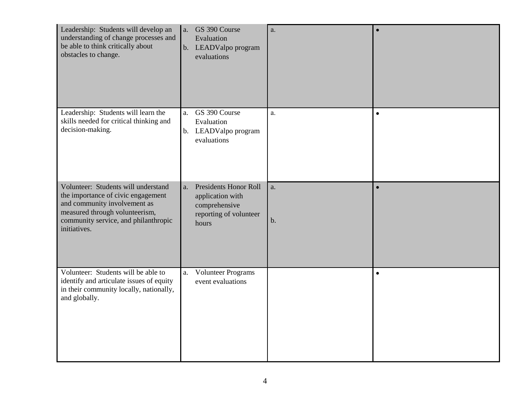| Leadership: Students will develop an<br>understanding of change processes and<br>be able to think critically about<br>obstacles to change.                                                          | a. GS 390 Course<br>Evaluation<br>b. LEADValpo program<br>evaluations                                      | a.          | $\bullet$ |
|-----------------------------------------------------------------------------------------------------------------------------------------------------------------------------------------------------|------------------------------------------------------------------------------------------------------------|-------------|-----------|
| Leadership: Students will learn the<br>skills needed for critical thinking and<br>decision-making.                                                                                                  | a. GS 390 Course<br>Evaluation<br>b. LEADValpo program<br>evaluations                                      | a.          | $\bullet$ |
| Volunteer: Students will understand<br>the importance of civic engagement<br>and community involvement as<br>measured through volunteerism,<br>community service, and philanthropic<br>initiatives. | <b>Presidents Honor Roll</b><br>a.<br>application with<br>comprehensive<br>reporting of volunteer<br>hours | a.<br>$b$ . | $\bullet$ |
| Volunteer: Students will be able to<br>identify and articulate issues of equity<br>in their community locally, nationally,<br>and globally.                                                         | Volunteer Programs<br>a.<br>event evaluations                                                              |             | $\bullet$ |